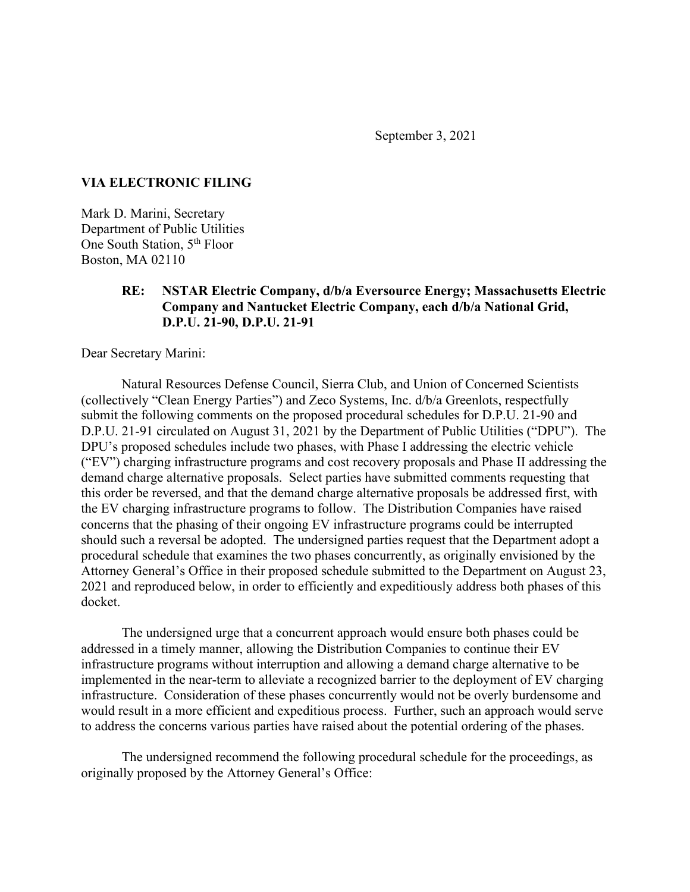September 3, 2021

## **VIA ELECTRONIC FILING**

Mark D. Marini, Secretary Department of Public Utilities One South Station, 5th Floor Boston, MA 02110

## **RE: NSTAR Electric Company, d/b/a Eversource Energy; Massachusetts Electric Company and Nantucket Electric Company, each d/b/a National Grid, D.P.U. 21-90, D.P.U. 21-91**

Dear Secretary Marini:

Natural Resources Defense Council, Sierra Club, and Union of Concerned Scientists (collectively "Clean Energy Parties") and Zeco Systems, Inc. d/b/a Greenlots, respectfully submit the following comments on the proposed procedural schedules for D.P.U. 21-90 and D.P.U. 21-91 circulated on August 31, 2021 by the Department of Public Utilities ("DPU"). The DPU's proposed schedules include two phases, with Phase I addressing the electric vehicle ("EV") charging infrastructure programs and cost recovery proposals and Phase II addressing the demand charge alternative proposals. Select parties have submitted comments requesting that this order be reversed, and that the demand charge alternative proposals be addressed first, with the EV charging infrastructure programs to follow. The Distribution Companies have raised concerns that the phasing of their ongoing EV infrastructure programs could be interrupted should such a reversal be adopted. The undersigned parties request that the Department adopt a procedural schedule that examines the two phases concurrently, as originally envisioned by the Attorney General's Office in their proposed schedule submitted to the Department on August 23, 2021 and reproduced below, in order to efficiently and expeditiously address both phases of this docket.

The undersigned urge that a concurrent approach would ensure both phases could be addressed in a timely manner, allowing the Distribution Companies to continue their EV infrastructure programs without interruption and allowing a demand charge alternative to be implemented in the near-term to alleviate a recognized barrier to the deployment of EV charging infrastructure. Consideration of these phases concurrently would not be overly burdensome and would result in a more efficient and expeditious process. Further, such an approach would serve to address the concerns various parties have raised about the potential ordering of the phases.

The undersigned recommend the following procedural schedule for the proceedings, as originally proposed by the Attorney General's Office: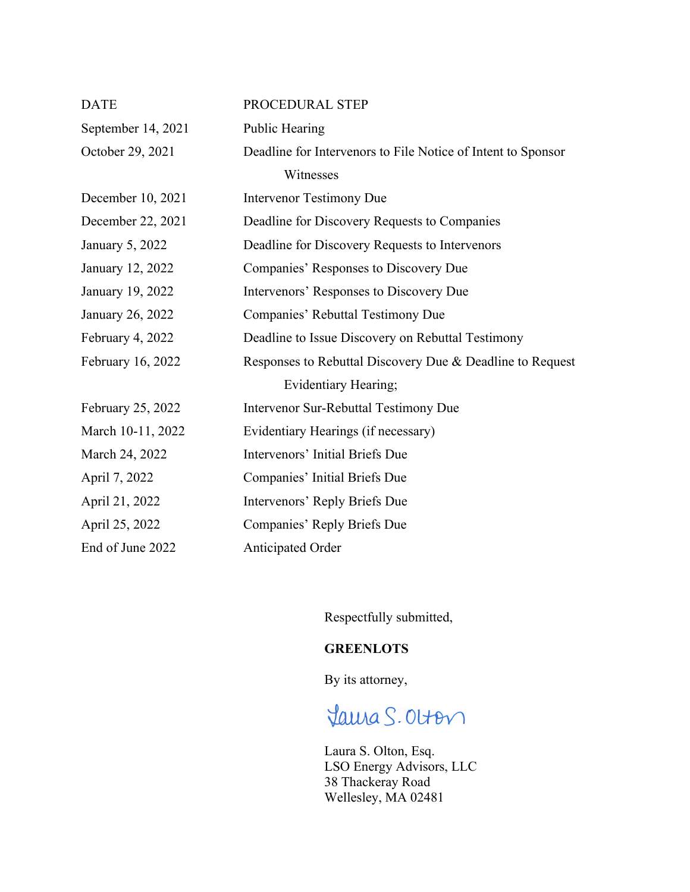| <b>DATE</b>        | PROCEDURAL STEP                                              |
|--------------------|--------------------------------------------------------------|
| September 14, 2021 | Public Hearing                                               |
| October 29, 2021   | Deadline for Intervenors to File Notice of Intent to Sponsor |
|                    | Witnesses                                                    |
| December 10, 2021  | <b>Intervenor Testimony Due</b>                              |
| December 22, 2021  | Deadline for Discovery Requests to Companies                 |
| January 5, 2022    | Deadline for Discovery Requests to Intervenors               |
| January 12, 2022   | Companies' Responses to Discovery Due                        |
| January 19, 2022   | Intervenors' Responses to Discovery Due                      |
| January 26, 2022   | Companies' Rebuttal Testimony Due                            |
| February 4, 2022   | Deadline to Issue Discovery on Rebuttal Testimony            |
| February 16, 2022  | Responses to Rebuttal Discovery Due & Deadline to Request    |
|                    | Evidentiary Hearing;                                         |
| February 25, 2022  | Intervenor Sur-Rebuttal Testimony Due                        |
| March 10-11, 2022  | Evidentiary Hearings (if necessary)                          |
| March 24, 2022     | Intervenors' Initial Briefs Due                              |
| April 7, 2022      | Companies' Initial Briefs Due                                |
| April 21, 2022     | Intervenors' Reply Briefs Due                                |
| April 25, 2022     | Companies' Reply Briefs Due                                  |
| End of June 2022   | Anticipated Order                                            |

Respectfully submitted,

## **GREENLOTS**

By its attorney,

## Jama S. Olton

Laura S. Olton, Esq. LSO Energy Advisors, LLC 38 Thackeray Road Wellesley, MA 02481